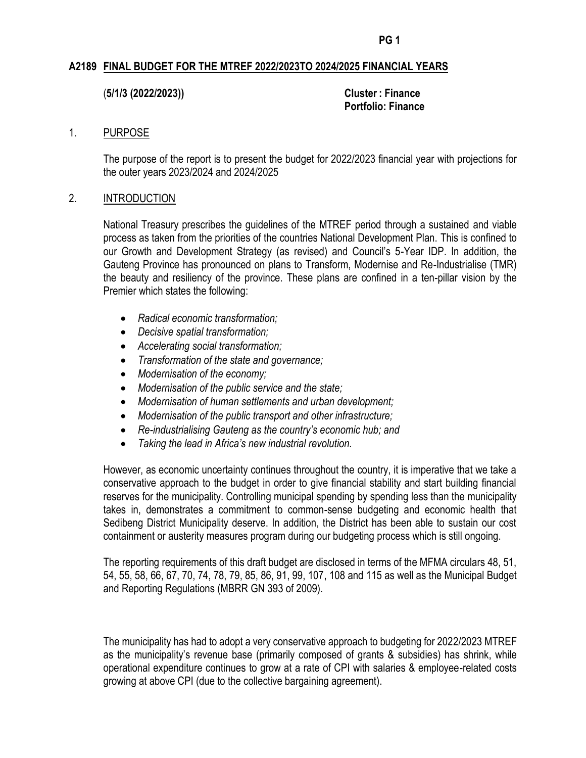## **A2189 FINAL BUDGET FOR THE MTREF 2022/2023TO 2024/2025 FINANCIAL YEARS**

(**5/1/3 (2022/2023)) Cluster : Finance**

**Portfolio: Finance**

### 1. PURPOSE

The purpose of the report is to present the budget for 2022/2023 financial year with projections for the outer years 2023/2024 and 2024/2025

#### 2. INTRODUCTION

National Treasury prescribes the guidelines of the MTREF period through a sustained and viable process as taken from the priorities of the countries National Development Plan. This is confined to our Growth and Development Strategy (as revised) and Council's 5-Year IDP. In addition, the Gauteng Province has pronounced on plans to Transform, Modernise and Re-Industrialise (TMR) the beauty and resiliency of the province. These plans are confined in a ten-pillar vision by the Premier which states the following:

- *Radical economic transformation;*
- *Decisive spatial transformation;*
- *Accelerating social transformation;*
- *Transformation of the state and governance;*
- *Modernisation of the economy;*
- *Modernisation of the public service and the state;*
- *Modernisation of human settlements and urban development;*
- *Modernisation of the public transport and other infrastructure;*
- *Re-industrialising Gauteng as the country's economic hub; and*
- *Taking the lead in Africa's new industrial revolution.*

However, as economic uncertainty continues throughout the country, it is imperative that we take a conservative approach to the budget in order to give financial stability and start building financial reserves for the municipality. Controlling municipal spending by spending less than the municipality takes in, demonstrates a commitment to common-sense budgeting and economic health that Sedibeng District Municipality deserve. In addition, the District has been able to sustain our cost containment or austerity measures program during our budgeting process which is still ongoing.

The reporting requirements of this draft budget are disclosed in terms of the MFMA circulars 48, 51, 54, 55, 58, 66, 67, 70, 74, 78, 79, 85, 86, 91, 99, 107, 108 and 115 as well as the Municipal Budget and Reporting Regulations (MBRR GN 393 of 2009).

The municipality has had to adopt a very conservative approach to budgeting for 2022/2023 MTREF as the municipality's revenue base (primarily composed of grants & subsidies) has shrink, while operational expenditure continues to grow at a rate of CPI with salaries & employee-related costs growing at above CPI (due to the collective bargaining agreement).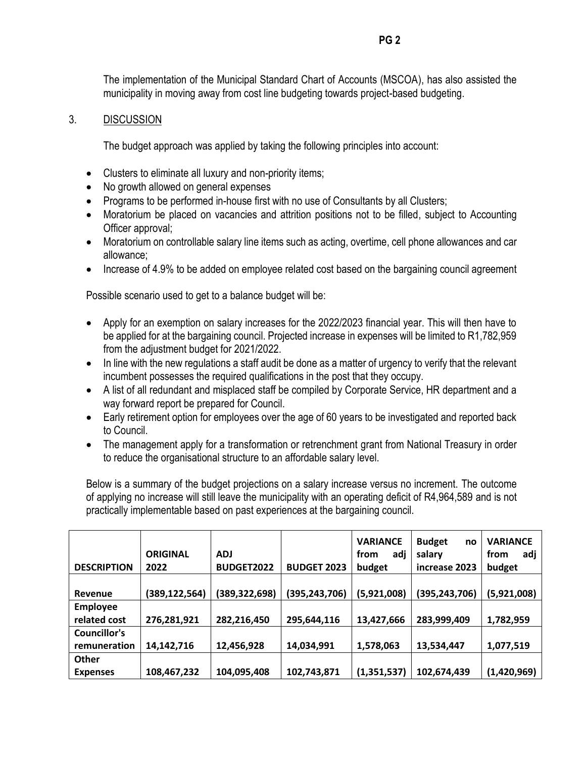The implementation of the Municipal Standard Chart of Accounts (MSCOA), has also assisted the municipality in moving away from cost line budgeting towards project-based budgeting.

## 3. DISCUSSION

The budget approach was applied by taking the following principles into account:

- Clusters to eliminate all luxury and non-priority items;
- No growth allowed on general expenses
- Programs to be performed in-house first with no use of Consultants by all Clusters;
- Moratorium be placed on vacancies and attrition positions not to be filled, subject to Accounting Officer approval;
- Moratorium on controllable salary line items such as acting, overtime, cell phone allowances and car allowance;
- Increase of 4.9% to be added on employee related cost based on the bargaining council agreement

Possible scenario used to get to a balance budget will be:

- Apply for an exemption on salary increases for the 2022/2023 financial year. This will then have to be applied for at the bargaining council. Projected increase in expenses will be limited to R1,782,959 from the adjustment budget for 2021/2022.
- In line with the new regulations a staff audit be done as a matter of urgency to verify that the relevant incumbent possesses the required qualifications in the post that they occupy.
- A list of all redundant and misplaced staff be compiled by Corporate Service, HR department and a way forward report be prepared for Council.
- Early retirement option for employees over the age of 60 years to be investigated and reported back to Council.
- The management apply for a transformation or retrenchment grant from National Treasury in order to reduce the organisational structure to an affordable salary level.

Below is a summary of the budget projections on a salary increase versus no increment. The outcome of applying no increase will still leave the municipality with an operating deficit of R4,964,589 and is not practically implementable based on past experiences at the bargaining council.

| <b>DESCRIPTION</b>  | <b>ORIGINAL</b><br>2022 | <b>ADJ</b><br><b>BUDGET2022</b> | <b>BUDGET 2023</b> | <b>VARIANCE</b><br>adj<br>from<br>budget | <b>Budget</b><br>no<br>salary<br>increase 2023 | <b>VARIANCE</b><br>from<br>adj<br>budget |
|---------------------|-------------------------|---------------------------------|--------------------|------------------------------------------|------------------------------------------------|------------------------------------------|
|                     |                         |                                 |                    |                                          |                                                |                                          |
| Revenue             | (389, 122, 564)         | (389,322,698)                   | (395,243,706)      | (5,921,008)                              | (395, 243, 706)                                | (5,921,008)                              |
| <b>Employee</b>     |                         |                                 |                    |                                          |                                                |                                          |
| related cost        | 276,281,921             | 282,216,450                     | 295,644,116        | 13,427,666                               | 283,999,409                                    | 1,782,959                                |
| <b>Councillor's</b> |                         |                                 |                    |                                          |                                                |                                          |
| remuneration        | 14,142,716              | 12,456,928                      | 14,034,991         | 1,578,063                                | 13,534,447                                     | 1,077,519                                |
| Other               |                         |                                 |                    |                                          |                                                |                                          |
| <b>Expenses</b>     | 108,467,232             | 104,095,408                     | 102,743,871        | (1,351,537)                              | 102,674,439                                    | (1,420,969)                              |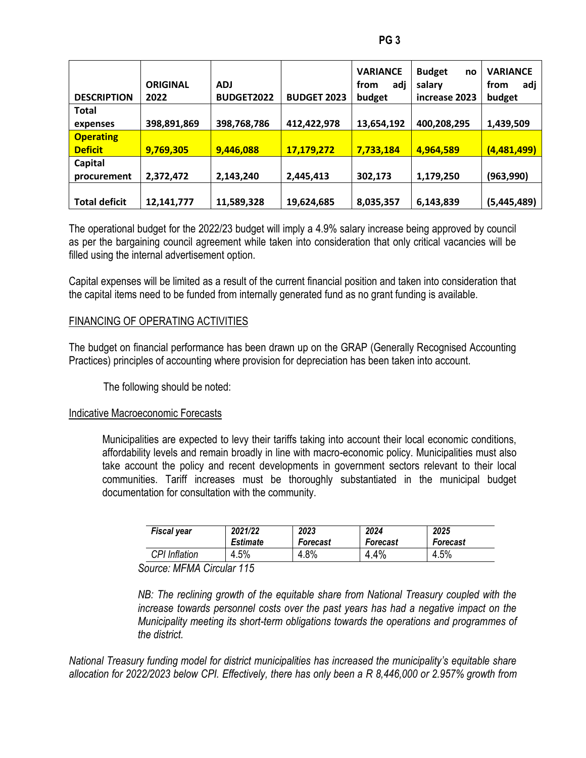| ۰,<br>× | . .<br>۰. |
|---------|-----------|
|---------|-----------|

|                      | <b>ORIGINAL</b> | <b>ADJ</b>        |                    | <b>VARIANCE</b><br>from<br>adj | <b>Budget</b><br>no<br>salary | <b>VARIANCE</b><br>adj<br>from |
|----------------------|-----------------|-------------------|--------------------|--------------------------------|-------------------------------|--------------------------------|
| <b>DESCRIPTION</b>   | 2022            | <b>BUDGET2022</b> | <b>BUDGET 2023</b> | budget                         | increase 2023                 | budget                         |
| <b>Total</b>         |                 |                   |                    |                                |                               |                                |
| expenses             | 398,891,869     | 398,768,786       | 412,422,978        | 13,654,192                     | 400,208,295                   | 1,439,509                      |
| <b>Operating</b>     |                 |                   |                    |                                |                               |                                |
| <b>Deficit</b>       | 9,769,305       | 9,446,088         | 17,179,272         | 7,733,184                      | 4,964,589                     | (4,481,499)                    |
| Capital              |                 |                   |                    |                                |                               |                                |
| procurement          | 2,372,472       | 2,143,240         | 2,445,413          | 302,173                        | 1,179,250                     | (963, 990)                     |
| <b>Total deficit</b> | 12,141,777      | 11,589,328        | 19,624,685         | 8,035,357                      | 6,143,839                     | (5,445,489)                    |

The operational budget for the 2022/23 budget will imply a 4.9% salary increase being approved by council as per the bargaining council agreement while taken into consideration that only critical vacancies will be filled using the internal advertisement option.

Capital expenses will be limited as a result of the current financial position and taken into consideration that the capital items need to be funded from internally generated fund as no grant funding is available.

## FINANCING OF OPERATING ACTIVITIES

The budget on financial performance has been drawn up on the GRAP (Generally Recognised Accounting Practices) principles of accounting where provision for depreciation has been taken into account.

The following should be noted:

### Indicative Macroeconomic Forecasts

Municipalities are expected to levy their tariffs taking into account their local economic conditions, affordability levels and remain broadly in line with macro-economic policy. Municipalities must also take account the policy and recent developments in government sectors relevant to their local communities. Tariff increases must be thoroughly substantiated in the municipal budget documentation for consultation with the community.

| Fiscal year          | 2021/22         | 2023            | 2024            | 2025     |
|----------------------|-----------------|-----------------|-----------------|----------|
|                      | <b>Estimate</b> | <b>Forecast</b> | <b>Forecast</b> | Forecast |
| <b>CPI</b> Inflation | 4.5%            | 4.8%            | 4.4%            | 4.5%     |

*Source: MFMA Circular 115*

*NB*: The reclining growth of the equitable share from National Treasury coupled with the *increase towards personnel costs over the past years has had a negative impact on the Municipality meeting its short-term obligations towards the operations and programmes of the district.*

*National Treasury funding model for district municipalities has increased the municipality's equitable share allocation for 2022/2023 below CPI. Effectively, there has only been a R 8,446,000 or 2.957% growth from*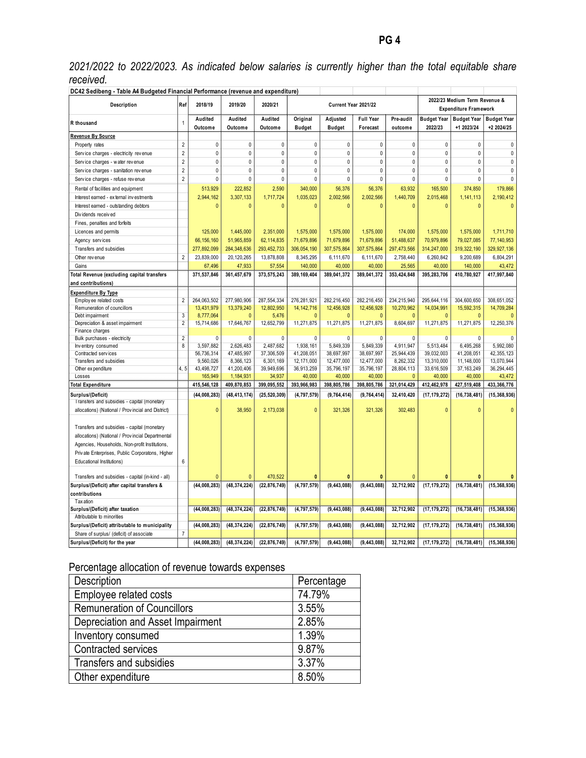*2021/2022 to 2022/2023. As indicated below salaries is currently higher than the total equitable share received.*

| DC42 Sedibeng - Table A4 Budgeted Financial Performance (revenue and expenditure) |                |                         |                         |                         |                            |                           |                              |                                                               |                               |                                  |                                  |
|-----------------------------------------------------------------------------------|----------------|-------------------------|-------------------------|-------------------------|----------------------------|---------------------------|------------------------------|---------------------------------------------------------------|-------------------------------|----------------------------------|----------------------------------|
| Description                                                                       | Ref            | 2018/19                 | 2019/20                 | 2020/21                 | Current Year 2021/22       |                           |                              | 2022/23 Medium Term Revenue &<br><b>Expenditure Framework</b> |                               |                                  |                                  |
| R thousand                                                                        | $\mathbf{1}$   | Audited<br>Outcome      | Audited<br>Outcome      | Audited<br>Outcome      | Original<br><b>Budget</b>  | Adjusted<br><b>Budget</b> | <b>Full Year</b><br>Forecast | Pre-audit<br>outcome                                          | <b>Budget Year</b><br>2022/23 | <b>Budget Year</b><br>+1 2023/24 | <b>Budget Year</b><br>+2 2024/25 |
| Revenue By Source                                                                 |                |                         |                         |                         |                            |                           |                              |                                                               |                               |                                  |                                  |
| Property rates                                                                    | $\overline{2}$ | $\mathbf{0}$            | $\mathbf{0}$            | 0                       | $\mathbf{0}$               | $\mathbf{0}$              | 0                            | $\mathbf{0}$                                                  | $\mathbf{0}$                  | 0                                | 0                                |
| Service charges - electricity revenue                                             | $\overline{2}$ | $\pmb{0}$               | $\pmb{0}$               | 0                       | $\pmb{0}$                  | 0                         | $\mathbf 0$                  | 0                                                             | $\mathbf 0$                   | $\pmb{0}$                        | $\pmb{0}$                        |
| Service charges - water revenue                                                   | $\overline{2}$ | $\mathbf{0}$            | $\mathbf{0}$            | $\mathbf{0}$            | $\mathbf{0}$               | $\mathbf{0}$              | $\mathbf{0}$                 | $\theta$                                                      | $\mathbf 0$                   | $\pmb{0}$                        | 0                                |
| Service charges - sanitation revenue                                              | $\overline{2}$ | $\mathbf 0$             | 0                       | $\mathbf 0$             | $\mathbf{0}$               | 0                         | $\mathbf 0$                  | $\mathbf{0}$                                                  | $\mathbf{0}$                  | $\mathbf 0$                      | $\pmb{0}$                        |
| Service charges - refuse revenue                                                  | $\overline{2}$ | 0                       | 0                       | 0                       | $\mathbf{0}$               | 0                         | 0                            | $\mathbf 0$                                                   | $\mathbf{0}$                  | 0                                | $\pmb{0}$                        |
| Rental of facilities and equipment                                                |                | 513,929                 | 222,852                 | 2,590                   | 340,000                    | 56,376                    | 56,376                       | 63,932                                                        | 165,500                       | 374,850                          | 179,866                          |
| Interest earned - external investments                                            |                | 2,944,162               | 3,307,133               | 1,717,724               | 1,035,023                  | 2,002,566                 | 2,002,566                    | 1,440,709                                                     | 2,015,468                     | 1, 141, 113                      | 2,190,412                        |
| Interest earned - outstanding debtors                                             |                | $\Omega$                | $\mathbf{0}$            | $\mathbf{0}$            | $\mathbf{0}$               | $\Omega$                  | $\bf{0}$                     | $\mathbf{0}$                                                  | $\Omega$                      | $\mathbf{0}$                     | $\mathbf{0}$                     |
| Dividends received                                                                |                |                         |                         |                         |                            |                           |                              |                                                               |                               |                                  |                                  |
| Fines, penalties and forfeits                                                     |                |                         |                         |                         |                            |                           |                              |                                                               |                               |                                  |                                  |
| Licences and permits                                                              |                | 125,000                 | 1,445,000               | 2,351,000               | 1,575,000                  | 1,575,000                 | 1,575,000                    | 174,000                                                       | 1,575,000                     | 1,575,000                        | 1,711,710                        |
| Agency services                                                                   |                | 66, 156, 160            | 51,965,859              | 62,114,835              | 71,679,896                 | 71,679,896                | 71,679,896                   | 51,488,637                                                    | 70,979,896                    | 79,027,085                       | 77,140,953                       |
| Transfers and subsidies                                                           |                | 277,892,099             | 284,348,636             | 293,452,733             | 306,054,190                | 307,575,864               | 307, 575, 864                | 297,473,566                                                   | 314,247,000                   | 319, 322, 190                    | 329,927,136                      |
| Other rev enue                                                                    | $\overline{2}$ | 23,839,000              | 20,120,265              | 13,878,808              | 8,345,295                  | 6,111,670                 | 6,111,670                    | 2,758,440                                                     | 6,260,842                     | 9,200,689                        | 6,804,291                        |
| Gains                                                                             |                | 67,496                  | 47,933                  | 57,554                  | 140,000                    | 40,000                    | 40,000                       | 25,565                                                        | 40,000                        | 140,000                          | 43,472                           |
| Total Revenue (excluding capital transfers                                        |                | 371,537,846             | 361,457,679             | 373,575,243             | 389, 169, 404              | 389,041,372               | 389,041,372                  | 353,424,848                                                   | 395,283,706                   | 410,780,927                      | 417,997,840                      |
| and contributions)                                                                |                |                         |                         |                         |                            |                           |                              |                                                               |                               |                                  |                                  |
| <b>Expenditure By Type</b>                                                        |                |                         |                         |                         |                            |                           |                              |                                                               |                               |                                  |                                  |
| Employ ee related costs                                                           | $\overline{2}$ | 264,063,502             | 277,980,906             | 287,554,334             | 276,281,921                | 282,216,450               | 282,216,450                  | 234,215,940                                                   | 295,644,116                   | 304,600,650                      | 308,651,052                      |
| Remuneration of councillors                                                       |                | 13,431,979              | 13,379,240              | 12,802,950              | 14, 142, 716               | 12,456,928                | 12,456,928                   | 10,270,962                                                    | 14,034,991                    | 15,592,315                       | 14,709,284                       |
| Debt impairment                                                                   | $\overline{3}$ | 8,777,064               | $\mathbf{0}$            | 5,476                   | O                          | $\Omega$                  | $\mathbf{0}$                 | $\sqrt{ }$                                                    | $\mathbf{0}$                  | O                                | $\Omega$                         |
| Depreciation & asset impairment                                                   | $\overline{2}$ | 15,714,686              | 17,646,767              | 12,652,799              | 11,271,875                 | 11,271,875                | 11,271,875                   | 8,604,697                                                     | 11,271,875                    | 11,271,875                       | 12,250,376                       |
| Finance charges                                                                   |                |                         |                         |                         |                            |                           |                              |                                                               |                               |                                  |                                  |
| Bulk purchases - electricity                                                      | $\overline{2}$ | $\Omega$                | 0                       | 0                       | 0                          | 0                         | 0                            | 0                                                             | $\mathbf{0}$                  | 0                                | 0                                |
| Inventory consumed                                                                | $\overline{8}$ | 3,597,882               | 2,626,483               | 2,487,682               | 1,938,161                  | 5,849,339                 | 5,849,339                    | 4,911,947                                                     | 5,513,484                     | 6,495,268                        | 5.992.080                        |
| Contracted services<br>Transfers and subsidies                                    |                | 56,736,314<br>9,560,026 | 47,485,997<br>8,366,123 | 37,306,509<br>6,301,169 | 41,208,051<br>12, 171, 000 | 38,697,997<br>12,477,000  | 38,697,997<br>12,477,000     | 25,944,439<br>8,262,332                                       | 39,032,003<br>13,310,000      | 41,208,051<br>11,148,000         | 42,355,123<br>13,070,944         |
| Other expenditure                                                                 | 4.5            | 43,498,727              | 41,200,406              | 39,949,696              | 36,913,259                 | 35,796,197                | 35,796,197                   | 28,804,113                                                    | 33,616,509                    | 37, 163, 249                     | 36,294,445                       |
| Losses                                                                            |                | 165,949                 | 1,184,931               | 34,937                  | 40,000                     | 40,000                    | 40,000                       | $\Omega$                                                      | 40,000                        | 40,000                           | 43,472                           |
| <b>Total Expenditure</b>                                                          |                | 415,546,128             | 409,870,853             | 399,095,552             | 393,966,983                | 398,805,786               | 398,805,786                  | 321,014,429                                                   | 412,462,978                   | 427,519,408                      | 433, 366, 776                    |
| Surplus/(Deficit)                                                                 |                | (44, 008, 283)          | (48, 413, 174)          | (25, 520, 309)          | (4, 797, 579)              | (9,764,414)               | (9,764,414)                  | 32,410,420                                                    | (17, 179, 272)                | (16, 738, 481)                   | (15, 368, 936)                   |
| Transfers and subsidies - capital (monetary                                       |                |                         |                         |                         |                            |                           |                              |                                                               |                               |                                  |                                  |
| allocations) (National / Provincial and District)                                 |                | $\mathbf{0}$            | 38,950                  | 2,173,038               | $\mathbf{0}$               | 321,326                   | 321,326                      | 302,483                                                       | $\mathbf{0}$                  | $\mathbf{0}$                     | $\mathbf{0}$                     |
| Transfers and subsidies - capital (monetary                                       |                |                         |                         |                         |                            |                           |                              |                                                               |                               |                                  |                                  |
| allocations) (National / Provincial Departmental                                  |                |                         |                         |                         |                            |                           |                              |                                                               |                               |                                  |                                  |
| Agencies, Households, Non-profit Institutions,                                    |                |                         |                         |                         |                            |                           |                              |                                                               |                               |                                  |                                  |
| Private Enterprises, Public Corporatons, Higher                                   |                |                         |                         |                         |                            |                           |                              |                                                               |                               |                                  |                                  |
| Educational Institutions)                                                         | 6              |                         |                         |                         |                            |                           |                              |                                                               |                               |                                  |                                  |
|                                                                                   |                |                         |                         |                         |                            |                           |                              |                                                               |                               |                                  |                                  |
| Transfers and subsidies - capital (in-kind - all)                                 |                | $\Omega$                | $\mathbf{0}$            | 470,522                 | $\mathbf{0}$               | $\bf{0}$                  | $\bf{0}$                     | $\mathbf 0$                                                   | $\mathbf{0}$                  |                                  | $\bf{0}$                         |
| Surplus/(Deficit) after capital transfers &                                       |                | (44,008,283)            | (48, 374, 224)          | (22, 876, 749)          | (4, 797, 579)              | (9, 443, 088)             | (9, 443, 088)                | 32,712,902                                                    | (17, 179, 272)                | (16, 738, 481)                   | (15, 368, 936)                   |
| contributions                                                                     |                |                         |                         |                         |                            |                           |                              |                                                               |                               |                                  |                                  |
| <b>Taxation</b>                                                                   |                |                         |                         |                         |                            |                           |                              |                                                               |                               |                                  |                                  |
| Surplus/(Deficit) after taxation<br>Attributable to minorities                    |                | (44,008,283)            | (48, 374, 224)          | (22, 876, 749)          | (4, 797, 579)              | (9, 443, 088)             | (9, 443, 088)                | 32,712,902                                                    | (17, 179, 272)                | (16, 738, 481)                   | (15, 368, 936)                   |
| Surplus/(Deficit) attributable to municipality                                    |                | (44,008,283)            | (48, 374, 224)          | (22, 876, 749)          | (4, 797, 579)              | (9, 443, 088)             | (9, 443, 088)                | 32,712,902                                                    | (17, 179, 272)                | (16, 738, 481)                   | (15, 368, 936)                   |
| Share of surplus/ (deficit) of associate                                          | $\overline{7}$ |                         |                         |                         |                            |                           |                              |                                                               |                               |                                  |                                  |
| Surplus/(Deficit) for the year                                                    |                | (44, 008, 283)          | (48, 374, 224)          | (22, 876, 749)          | (4, 797, 579)              | (9, 443, 088)             | (9, 443, 088)                | 32.712.902                                                    | (17, 179, 272)                | (16, 738, 481)                   | (15, 368, 936)                   |
|                                                                                   |                |                         |                         |                         |                            |                           |                              |                                                               |                               |                                  |                                  |

# Percentage allocation of revenue towards expenses

| Description                        | Percentage |
|------------------------------------|------------|
| Employee related costs             | 74.79%     |
| <b>Remuneration of Councillors</b> | 3.55%      |
| Depreciation and Asset Impairment  | 2.85%      |
| Inventory consumed                 | 1.39%      |
| Contracted services                | 9.87%      |
| Transfers and subsidies            | 3.37%      |
| Other expenditure                  | 8.50%      |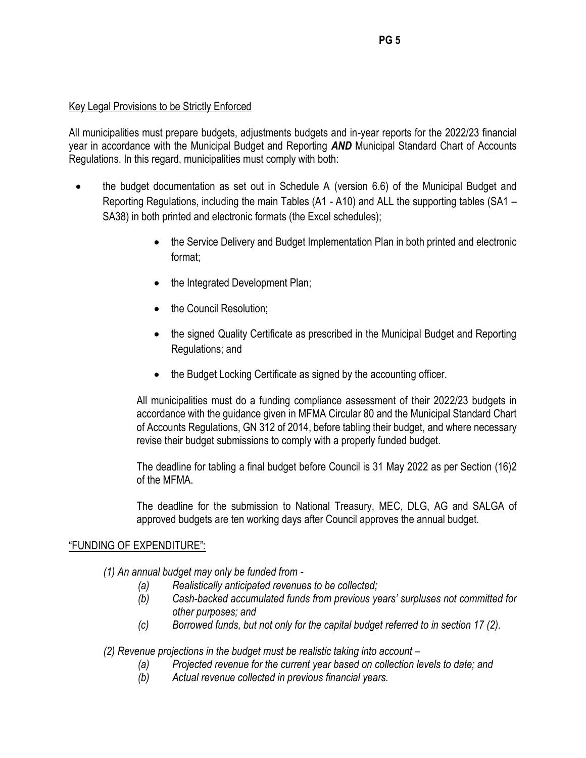## Key Legal Provisions to be Strictly Enforced

All municipalities must prepare budgets, adjustments budgets and in-year reports for the 2022/23 financial year in accordance with the Municipal Budget and Reporting *AND* Municipal Standard Chart of Accounts Regulations. In this regard, municipalities must comply with both:

- the budget documentation as set out in Schedule A (version 6.6) of the Municipal Budget and Reporting Regulations, including the main Tables (A1 - A10) and ALL the supporting tables (SA1 – SA38) in both printed and electronic formats (the Excel schedules);
	- the Service Delivery and Budget Implementation Plan in both printed and electronic format;
	- the Integrated Development Plan;
	- the Council Resolution;
	- the signed Quality Certificate as prescribed in the Municipal Budget and Reporting Regulations; and
	- the Budget Locking Certificate as signed by the accounting officer.

All municipalities must do a funding compliance assessment of their 2022/23 budgets in accordance with the guidance given in MFMA Circular 80 and the Municipal Standard Chart of Accounts Regulations, GN 312 of 2014, before tabling their budget, and where necessary revise their budget submissions to comply with a properly funded budget.

The deadline for tabling a final budget before Council is 31 May 2022 as per Section (16)2 of the MFMA.

The deadline for the submission to National Treasury, MEC, DLG, AG and SALGA of approved budgets are ten working days after Council approves the annual budget.

### "FUNDING OF EXPENDITURE":

*(1) An annual budget may only be funded from -*

- *(a) Realistically anticipated revenues to be collected;*
- *(b) Cash-backed accumulated funds from previous years' surpluses not committed for other purposes; and*
- *(c) Borrowed funds, but not only for the capital budget referred to in section 17 (2).*

*(2) Revenue projections in the budget must be realistic taking into account –*

- *(a) Projected revenue for the current year based on collection levels to date; and*
- *(b) Actual revenue collected in previous financial years.*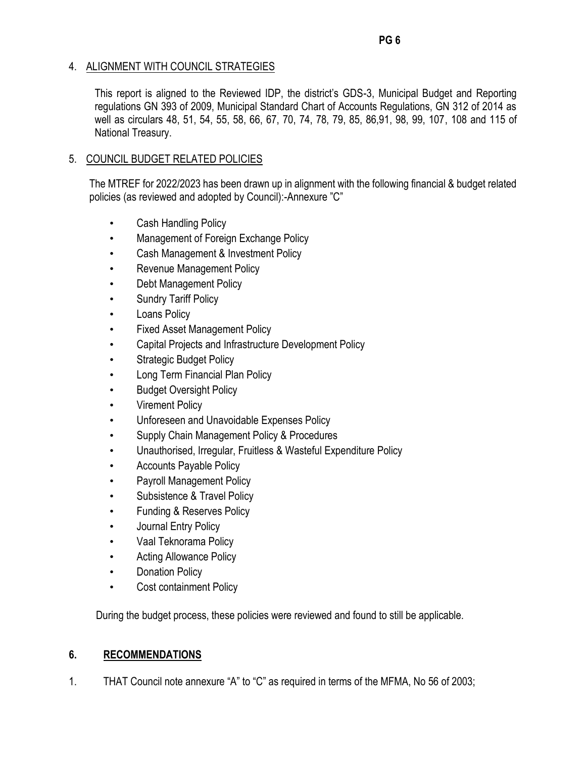# 4. ALIGNMENT WITH COUNCIL STRATEGIES

This report is aligned to the Reviewed IDP, the district's GDS-3, Municipal Budget and Reporting regulations GN 393 of 2009, Municipal Standard Chart of Accounts Regulations, GN 312 of 2014 as well as circulars 48, 51, 54, 55, 58, 66, 67, 70, 74, 78, 79, 85, 86,91, 98, 99, 107, 108 and 115 of National Treasury.

# 5. COUNCIL BUDGET RELATED POLICIES

The MTREF for 2022/2023 has been drawn up in alignment with the following financial & budget related policies (as reviewed and adopted by Council):-Annexure "C"

- Cash Handling Policy
- Management of Foreign Exchange Policy
- Cash Management & Investment Policy
- Revenue Management Policy
- Debt Management Policy
- Sundry Tariff Policy
- Loans Policy
- Fixed Asset Management Policy
- Capital Projects and Infrastructure Development Policy
- **Strategic Budget Policy**
- Long Term Financial Plan Policy
- **Budget Oversight Policy**
- **Virement Policy**
- Unforeseen and Unavoidable Expenses Policy
- Supply Chain Management Policy & Procedures
- Unauthorised, Irregular, Fruitless & Wasteful Expenditure Policy
- Accounts Payable Policy
- Payroll Management Policy
- Subsistence & Travel Policy
- Funding & Reserves Policy
- Journal Entry Policy
- Vaal Teknorama Policy
- Acting Allowance Policy
- Donation Policy
- Cost containment Policy

During the budget process, these policies were reviewed and found to still be applicable.

# **6. RECOMMENDATIONS**

1. THAT Council note annexure "A" to "C" as required in terms of the MFMA, No 56 of 2003;